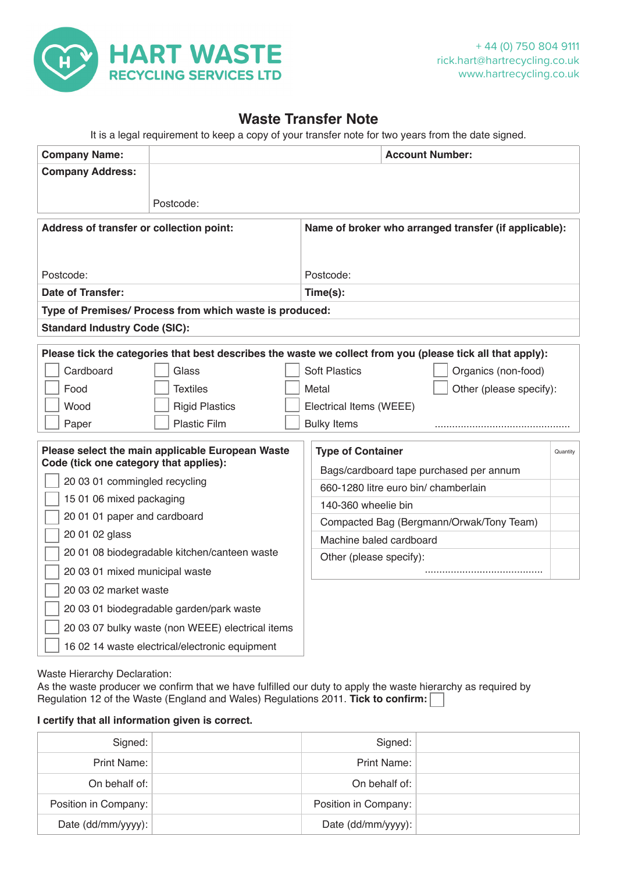

## **Waste Transfer Note**

It is a legal requirement to keep a copy of your transfer note for two years from the date signed.

| <b>Company Name:</b>                                                                                       |                       |  | <b>Account Number:</b>                                                          |  |                     |                         |          |  |  |
|------------------------------------------------------------------------------------------------------------|-----------------------|--|---------------------------------------------------------------------------------|--|---------------------|-------------------------|----------|--|--|
| <b>Company Address:</b>                                                                                    |                       |  |                                                                                 |  |                     |                         |          |  |  |
|                                                                                                            |                       |  |                                                                                 |  |                     |                         |          |  |  |
|                                                                                                            | Postcode:             |  |                                                                                 |  |                     |                         |          |  |  |
| Address of transfer or collection point:                                                                   |                       |  | Name of broker who arranged transfer (if applicable):                           |  |                     |                         |          |  |  |
|                                                                                                            |                       |  |                                                                                 |  |                     |                         |          |  |  |
| Postcode:                                                                                                  |                       |  | Postcode:                                                                       |  |                     |                         |          |  |  |
| <b>Date of Transfer:</b>                                                                                   |                       |  | Time(s):                                                                        |  |                     |                         |          |  |  |
| Type of Premises/ Process from which waste is produced:                                                    |                       |  |                                                                                 |  |                     |                         |          |  |  |
| <b>Standard Industry Code (SIC):</b>                                                                       |                       |  |                                                                                 |  |                     |                         |          |  |  |
| Please tick the categories that best describes the waste we collect from you (please tick all that apply): |                       |  |                                                                                 |  |                     |                         |          |  |  |
| Cardboard                                                                                                  | Glass                 |  | <b>Soft Plastics</b>                                                            |  | Organics (non-food) |                         |          |  |  |
| Food                                                                                                       | <b>Textiles</b>       |  | Metal                                                                           |  |                     | Other (please specify): |          |  |  |
| Wood                                                                                                       | <b>Rigid Plastics</b> |  | Electrical Items (WEEE)                                                         |  |                     |                         |          |  |  |
| Paper                                                                                                      | <b>Plastic Film</b>   |  | <b>Bulky Items</b>                                                              |  |                     |                         |          |  |  |
|                                                                                                            |                       |  |                                                                                 |  |                     |                         |          |  |  |
| Please select the main applicable European Waste<br>Code (tick one category that applies):                 |                       |  | <b>Type of Container</b>                                                        |  |                     |                         | Quantity |  |  |
| 20 03 01 commingled recycling                                                                              |                       |  | Bags/cardboard tape purchased per annum<br>660-1280 litre euro bin/ chamberlain |  |                     |                         |          |  |  |
| 15 01 06 mixed packaging                                                                                   |                       |  | 140-360 wheelie bin                                                             |  |                     |                         |          |  |  |
| 20 01 01 paper and cardboard                                                                               |                       |  | Compacted Bag (Bergmann/Orwak/Tony Team)                                        |  |                     |                         |          |  |  |
| 20 01 02 glass                                                                                             |                       |  | Machine baled cardboard                                                         |  |                     |                         |          |  |  |
| 20 01 08 biodegradable kitchen/canteen waste                                                               |                       |  | Other (please specify):                                                         |  |                     |                         |          |  |  |
| 20 03 01 mixed municipal waste                                                                             |                       |  |                                                                                 |  |                     |                         |          |  |  |
| 20 03 02 market waste                                                                                      |                       |  |                                                                                 |  |                     |                         |          |  |  |
| 20 03 01 biodegradable garden/park waste                                                                   |                       |  |                                                                                 |  |                     |                         |          |  |  |
| 20 03 07 bulky waste (non WEEE) electrical items                                                           |                       |  |                                                                                 |  |                     |                         |          |  |  |
| 16 02 14 waste electrical/electronic equipment                                                             |                       |  |                                                                                 |  |                     |                         |          |  |  |

Waste Hierarchy Declaration:

As the waste producer we confirm that we have fulfilled our duty to apply the waste hierarchy as required by Regulation 12 of the Waste (England and Wales) Regulations 2011. **Tick to confirm:** 

## **I certify that all information given is correct.**

| Signed:              | Signed:              |  |
|----------------------|----------------------|--|
| Print Name:          | Print Name:          |  |
| On behalf of:        | On behalf of:        |  |
| Position in Company: | Position in Company: |  |
| Date (dd/mm/yyyy):   | Date (dd/mm/yyyy):   |  |